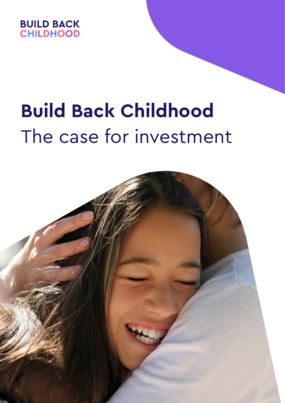

# **Build Back Childhood** The case for investment

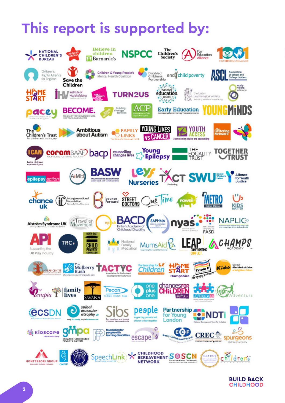# **This report is supported by:**



**BUILD BACK CHILDHOOD**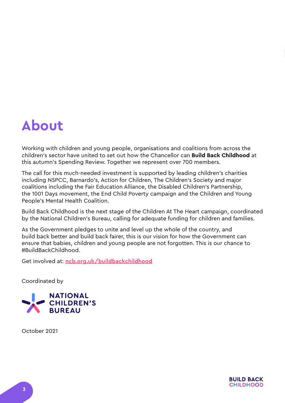# **About**

Working with children and young people, organisations and coalitions from across the children's sector have united to set out how the Chancellor can **Build Back Childhood** at this autumn's Spending Review. Together we represent over 700 members.

The call for this much-needed investment is supported by leading children's charities including NSPCC, Barnardo's, Action for Children, The Children's Society and major coalitions including the Fair Education Alliance, the Disabled Children's Partnership, the 1001 Days movement, the End Child Poverty campaign and the Children and Young People's Mental Health Coalition.

Build Back Childhood is the next stage of the Children At The Heart campaign, coordinated by the National Children's Bureau, calling for adequate funding for children and families.

As the Government pledges to unite and level up the whole of the country, and build back better and build back fairer, this is our vision for how the Government can ensure that babies, children and young people are not forgotten. This is our chance to #BuildBackChildhood.

Get involved at: **[ncb.org.uk/buildbackchildhood](http://www.ncb.org.uk/buildbackchildhood )**

Coordinated by



October 2021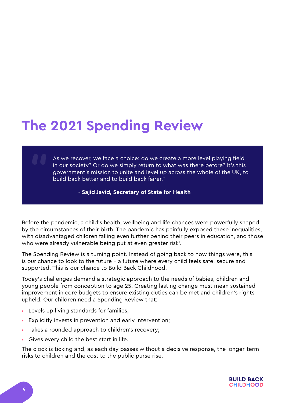# **The 2021 Spending Review**

As we recover, we face a choice: do we create a more level playing field in our society? Or do we simply return to what was there before? It's this government's mission to unite and level up across the whole of the UK, to build back better and to build back fairer."

#### **- Sajid Javid, Secretary of State for Health**

Before the pandemic, a child's health, wellbeing and life chances were powerfully shaped by the circumstances of their birth. The pandemic has painfully exposed these inequalities, with disadvantaged children falling even further behind their peers in education, and those who were already vulnerable being put at even greater risk<sup>1</sup>.

The Spending Review is a turning point. Instead of going back to how things were, this is our chance to look to the future – a future where every child feels safe, secure and supported. This is our chance to Build Back Childhood.

Today's challenges demand a strategic approach to the needs of babies, children and young people from conception to age 25. Creating lasting change must mean sustained improvement in core budgets to ensure existing duties can be met and children's rights upheld. Our children need a Spending Review that:

- Levels up living standards for families;
- Explicitly invests in prevention and early intervention;
- Takes a rounded approach to children's recovery;
- Gives every child the best start in life.

The clock is ticking and, as each day passes without a decisive response, the longer-term risks to children and the cost to the public purse rise.

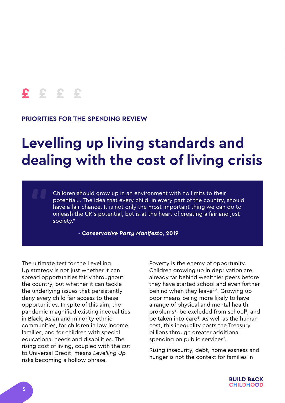#### **PRIORITIES FOR THE SPENDING REVIEW**

# **Levelling up living standards and dealing with the cost of living crisis**

Children should grow up in an environment with no limits to their potential… The idea that every child, in every part of the country, should have a fair chance. It is not only the most important thing we can do to unleash the UK's potential, but is at the heart of creating a fair and just society."

**-** *Conservative Party Manifesto,* **2019**

The ultimate test for the Levelling Up strategy is not just whether it can spread opportunities fairly throughout the country, but whether it can tackle the underlying issues that persistently deny every child fair access to these opportunities. In spite of this aim, the pandemic magnified existing inequalities in Black, Asian and minority ethnic communities, for children in low income families, and for children with special educational needs and disabilities. The rising cost of living, coupled with the cut to Universal Credit, means *Levelling Up*  risks becoming a hollow phrase.

Poverty is the enemy of opportunity. Children growing up in deprivation are already far behind wealthier peers before they have started school and even further behind when they leave<sup>23</sup>. Growing up poor means being more likely to have a range of physical and mental health problems<sup>4</sup>, be excluded from school<sup>5</sup>, and be taken into care<sup>6</sup>. As well as the human cost, this inequality costs the Treasury billions through greater additional spending on public services<sup>7</sup>.

Rising insecurity, debt, homelessness and hunger is not the context for families in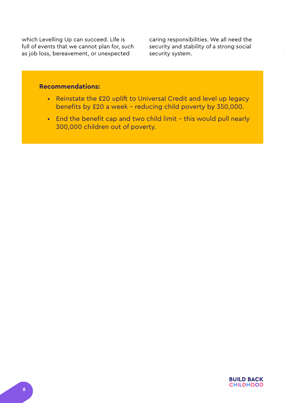which Levelling Up can succeed. Life is full of events that we cannot plan for, such as job loss, bereavement, or unexpected

caring responsibilities. We all need the security and stability of a strong social security system.

- Reinstate the £20 uplift to Universal Credit and level up legacy benefits by £20 a week – reducing child poverty by 350,000.
- End the benefit cap and two child limit this would pull nearly 300,000 children out of poverty.

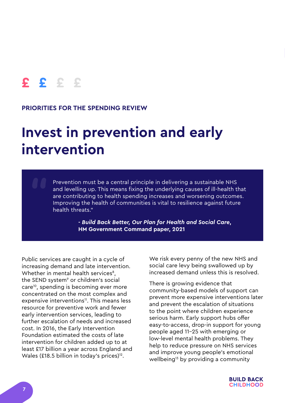#### **PRIORITIES FOR THE SPENDING REVIEW**

# **Invest in prevention and early intervention**

Prevention must be a central principle in delivering a sustainable NHS and levelling up. This means fixing the underlying causes of ill-health that are contributing to health spending increases and worsening outcomes. Improving the health of communities is vital to resilience against future health threats."

> **-** *Build Back Better, Our Plan for Health and Social Care***, HM Government Command paper, 2021**

Public services are caught in a cycle of increasing demand and late intervention. Whether in mental health services<sup>8</sup>, the SEND system<sup>9</sup> or children's social care10, spending is becoming ever more concentrated on the most complex and expensive interventions<sup>11</sup>. This means less resource for preventive work and fewer early intervention services, leading to further escalation of needs and increased cost. In 2016, the Early Intervention Foundation estimated the costs of late intervention for children added up to at least £17 billion a year across England and Wales (£18.5 billion in today's prices) $12$ .

We risk every penny of the new NHS and social care levy being swallowed up by increased demand unless this is resolved.

There is growing evidence that community-based models of support can prevent more expensive interventions later and prevent the escalation of situations to the point where children experience serious harm. Early support hubs offer easy-to-access, drop-in support for young people aged 11-25 with emerging or low-level mental health problems. They help to reduce pressure on NHS services and improve young people's emotional wellbeing<sup>13</sup> by providing a community

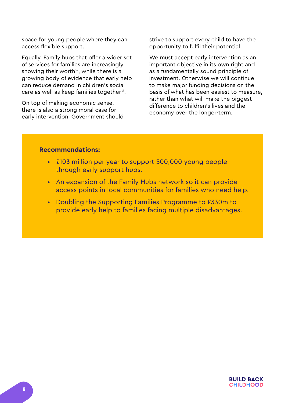space for young people where they can access flexible support.

Equally, Family hubs that offer a wider set of services for families are increasingly showing their worth<sup>14</sup>, while there is a growing body of evidence that early help can reduce demand in children's social care as well as keep families together<sup>15</sup>.

On top of making economic sense, there is also a strong moral case for early intervention. Government should strive to support every child to have the opportunity to fulfil their potential.

We must accept early intervention as an important objective in its own right and as a fundamentally sound principle of investment. Otherwise we will continue to make major funding decisions on the basis of what has been easiest to measure, rather than what will make the biggest difference to children's lives and the economy over the longer-term.

- £103 million per year to support 500,000 young people through early support hubs.
- An expansion of the Family Hubs network so it can provide access points in local communities for families who need help.
- Doubling the Supporting Families Programme to £330m to provide early help to families facing multiple disadvantages.

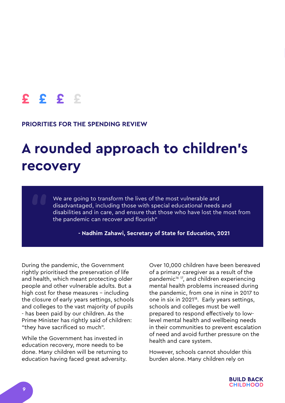#### **PRIORITIES FOR THE SPENDING REVIEW**

# **A rounded approach to children's recovery**

We are going to transform the lives of the most vulnerable and disadvantaged, including those with special educational needs and disabilities and in care, and ensure that those who have lost the most from the pandemic can recover and flourish"

**- Nadhim Zahawi, Secretary of State for Education, 2021**

During the pandemic, the Government rightly prioritised the preservation of life and health, which meant protecting older people and other vulnerable adults. But a high cost for these measures - including the closure of early years settings, schools and colleges to the vast majority of pupils - has been paid by our children. As the Prime Minister has rightly said of children: "they have sacrificed so much".

While the Government has invested in education recovery, more needs to be done. Many children will be returning to education having faced great adversity.

Over 10,000 children have been bereaved of a primary caregiver as a result of the pandemic<sup>16 17</sup>, and children experiencing mental health problems increased during the pandemic, from one in nine in 2017 to one in six in 2021<sup>18</sup>. Early years settings, schools and colleges must be well prepared to respond effectively to lowlevel mental health and wellbeing needs in their communities to prevent escalation of need and avoid further pressure on the health and care system.

However, schools cannot shoulder this burden alone. Many children rely on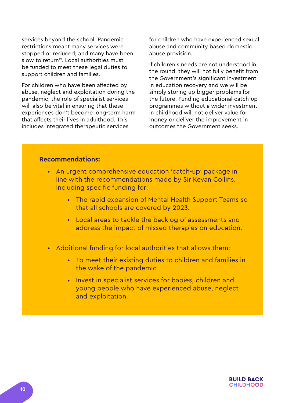services beyond the school. Pandemic restrictions meant many services were stopped or reduced; and many have been slow to return<sup>19</sup>. Local authorities must be funded to meet these legal duties to support children and families.

For children who have been affected by abuse, neglect and exploitation during the pandemic, the role of specialist services will also be vital in ensuring that these experiences don't become long-term harm that affects their lives in adulthood. This includes integrated therapeutic services

for children who have experienced sexual abuse and community based domestic abuse provision.

If children's needs are not understood in the round, they will not fully benefit from the Government's significant investment in education recovery and we will be simply storing up bigger problems for the future. Funding educational catch-up programmes without a wider investment in childhood will not deliver value for money or deliver the improvement in outcomes the Government seeks.

- An urgent comprehensive education 'catch-up' package in line with the recommendations made by Sir Kevan Collins. Including specific funding for:
	- The rapid expansion of Mental Health Support Teams so that all schools are covered by 2023.
	- Local areas to tackle the backlog of assessments and address the impact of missed therapies on education.
- Additional funding for local authorities that allows them:
	- To meet their existing duties to children and families in the wake of the pandemic
	- Invest in specialist services for babies, children and young people who have experienced abuse, neglect and exploitation.

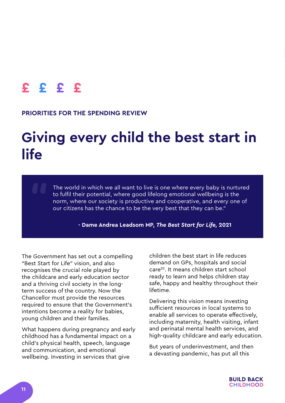#### **PRIORITIES FOR THE SPENDING REVIEW**

# **Giving every child the best start in life**

The world in which we all want to live is one where every baby is nurtured to fulfil their potential, where good lifelong emotional wellbeing is the norm, where our society is productive and cooperative, and every one of our citizens has the chance to be the very best that they can be."

**- Dame Andrea Leadsom MP,** *The Best Start for Life,* **2021**

The Government has set out a compelling "Best Start for Life" vision, and also recognises the crucial role played by the childcare and early education sector and a thriving civil society in the longterm success of the country. Now the Chancellor must provide the resources required to ensure that the Government's intentions become a reality for babies, young children and their families.

What happens during pregnancy and early childhood has a fundamental impact on a child's physical health, speech, language and communication, and emotional wellbeing. Investing in services that give

children the best start in life reduces demand on GPs, hospitals and social care20. It means children start school ready to learn and helps children stay safe, happy and healthy throughout their lifetime.

Delivering this vision means investing sufficient resources in local systems to enable all services to operate effectively, including maternity, health visiting, infant and perinatal mental health services, and high-quality childcare and early education.

But years of underinvestment, and then a devasting pandemic, has put all this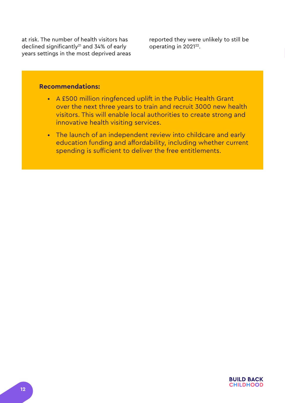at risk. The number of health visitors has declined significantly<sup>21</sup> and 34% of early years settings in the most deprived areas reported they were unlikely to still be operating in 2021<sup>22</sup>.

- A £500 million ringfenced uplift in the Public Health Grant over the next three years to train and recruit 3000 new health visitors. This will enable local authorities to create strong and innovative health visiting services.
- The launch of an independent review into childcare and early education funding and affordability, including whether current spending is sufficient to deliver the free entitlements.

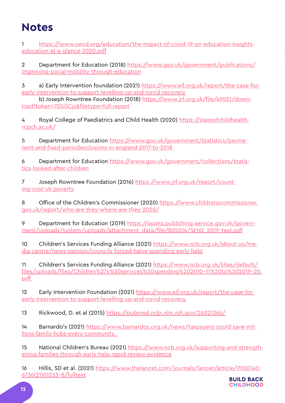### **Notes**

1 [https://www.oecd.org/education/the-impact-of-covid-19-on-education-insights](https://www.oecd.org/education/the-impact-of-covid-19-on-education-insights-education-at-a-glance-2020.pdf)[education-at-a-glance-2020.pdf](https://www.oecd.org/education/the-impact-of-covid-19-on-education-insights-education-at-a-glance-2020.pdf)

2 Department for Education (2018) [https://www.gov.uk/government/publications/](https://www.gov.uk/government/publications/improving-social-mobility-through-education) [improving-social-mobility-through-education](https://www.gov.uk/government/publications/improving-social-mobility-through-education)

3 a) Early Intervention foundation (2021) [https://www.eif.org.uk/report/the-case-for](https://www.eif.org.uk/report/the-case-for-early-intervention-to-support-levelling-up-and-covid-recovery)[early-intervention-to-support-levelling-up-and-covid-recovery](https://www.eif.org.uk/report/the-case-for-early-intervention-to-support-levelling-up-and-covid-recovery)

b) Joseph Rowntree Foundation (2018) [https://www.jrf.org.uk/file/49551/down](https://www.jrf.org.uk/file/49551/download?token=705i5Cjs&filetype=full-report )[load?token=705i5Cjs&filetype=full-report](https://www.jrf.org.uk/file/49551/download?token=705i5Cjs&filetype=full-report )

4 Royal College of Paediatrics and Child Health (2020) [https://stateofchildhealth.](https://stateofchildhealth.rcpch.ac.uk/) [rcpch.ac.uk/](https://stateofchildhealth.rcpch.ac.uk/)

5 Department for Education [https://www.gov.uk/government/statistics/perma](https://www.gov.uk/government/statistics/permanent-and-fixed-periodexclusions-in-england-2017-to-2018 )[nent-and-fixed-periodexclusions-in-england-2017-to-2018](https://www.gov.uk/government/statistics/permanent-and-fixed-periodexclusions-in-england-2017-to-2018 ) 

6 Department for Education [https://www.gov.uk/government/collections/statis](https://www.gov.uk/government/collections/statistics-looked-after-children)[tics-looked-after-children](https://www.gov.uk/government/collections/statistics-looked-after-children)

7 Joseph Rowntree Foundation (2016) [https://www.jrf.org.uk/report/count](https://www.jrf.org.uk/report/counting-cost-uk-poverty)[ing-cost-uk-poverty](https://www.jrf.org.uk/report/counting-cost-uk-poverty)

8 Office of the Children's Commissioner (2020) [https://www.childrenscommissioner.](https://www.childrenscommissioner.gov.uk/report/who-are-they-where-are-they-2020/) [gov.uk/report/who-are-they-where-are-they-2020/](https://www.childrenscommissioner.gov.uk/report/who-are-they-where-are-they-2020/)

9 Department for Education (2019) [https://assets.publishing.service.gov.uk/govern](https://assets.publishing.service.gov.uk/government/uploads/system/uploads/attachment_data/file/805014/SEN2_2019_text.pdf)[ment/uploads/system/uploads/attachment\\_data/file/805014/SEN2\\_2019\\_text.pdf](https://assets.publishing.service.gov.uk/government/uploads/system/uploads/attachment_data/file/805014/SEN2_2019_text.pdf)

10 Children's Services Funding Alliance (2021) [https://www.ncb.org.uk/about-us/me](https://www.ncb.org.uk/about-us/media-centre/news-opinion/councils-forced-halve-spending-early-help)[dia-centre/news-opinion/councils-forced-halve-spending-early-help](https://www.ncb.org.uk/about-us/media-centre/news-opinion/councils-forced-halve-spending-early-help)

11 Children's Services Funding Alliance (2021) [https://www.ncb.org.uk/sites/default/](https://www.ncb.org.uk/sites/default/files/uploads/files/Children%27s%20services%20spending%202010-11%20to%202019-20.pdf ) [files/uploads/files/Children%27s%20services%20spending%202010-11%20to%202019-20.](https://www.ncb.org.uk/sites/default/files/uploads/files/Children%27s%20services%20spending%202010-11%20to%202019-20.pdf ) [pdf](https://www.ncb.org.uk/sites/default/files/uploads/files/Children%27s%20services%20spending%202010-11%20to%202019-20.pdf ) 

12 Early Intervention Foundation (2021) https://www.eif.org.uk/report/the-case-forearly-intervention-to-support-levelling-up-and-covid-recovery

13 Rickwood, D. et al (2015)<https://pubmed.ncbi.nlm.nih.gov/26021366/>

14 Barnardo's (2021) [https://www.barnardos.org.uk/news/taxpayers-could-save-mil](https://www.barnardos.org.uk/news/taxpayers-could-save-millions-family-hubs-every-community  )[lions-family-hubs-every-community](https://www.barnardos.org.uk/news/taxpayers-could-save-millions-family-hubs-every-community  ) 

15 National Children's Bureau (2021) [https://www.ncb.org.uk/supporting-and-strength](https://www.ncb.org.uk/supporting-and-strengthening-families-through-early-help-rapid-review-evidence)[ening-families-through-early-help-rapid-review-evidence](https://www.ncb.org.uk/supporting-and-strengthening-families-through-early-help-rapid-review-evidence)

16 Hillis, SD et al. (2021) [https://www.thelancet.com/journals/lancet/article/PIIS0140-](https://www.thelancet.com/journals/lancet/article/PIIS0140-6736(21)01253-8/fulltext) [6736\(21\)01253-8/fulltext](https://www.thelancet.com/journals/lancet/article/PIIS0140-6736(21)01253-8/fulltext)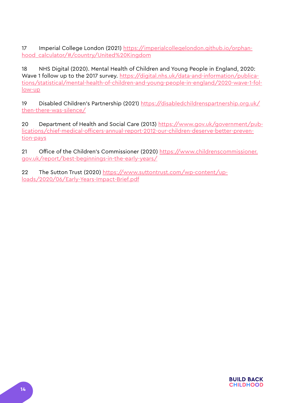17 Imperial College London (2021) [https://imperialcollegelondon.github.io/orphan](https://imperialcollegelondon.github.io/orphanhood_calculator/#/country/United%20Kingdom)[hood\\_calculator/#/country/United%20Kingdom](https://imperialcollegelondon.github.io/orphanhood_calculator/#/country/United%20Kingdom)

18 NHS Digital (2020). Mental Health of Children and Young People in England, 2020: Wave 1 follow up to the 2017 survey. [https://digital.nhs.uk/data-and-information/publica](https://digital.nhs.uk/data-and-information/publications/statistical/mental-health-of-children-and-young-people-in-england/2020-wave-1-follow-up)[tions/statistical/mental-health-of-children-and-young-people-in-england/2020-wave-1-fol](https://digital.nhs.uk/data-and-information/publications/statistical/mental-health-of-children-and-young-people-in-england/2020-wave-1-follow-up)[low-up](https://digital.nhs.uk/data-and-information/publications/statistical/mental-health-of-children-and-young-people-in-england/2020-wave-1-follow-up)

19 Disabled Children's Partnership (2021) [https://disabledchildrenspartnership.org.uk/](https://disabledchildrenspartnership.org.uk/then-there-was-silence/) [then-there-was-silence/](https://disabledchildrenspartnership.org.uk/then-there-was-silence/)

20 Department of Health and Social Care (2013) [https://www.gov.uk/government/pub](https://www.gov.uk/government/publications/chief-medical-officers-annual-report-2012-our-children-deserve-better-prevention-pays)[lications/chief-medical-officers-annual-report-2012-our-children-deserve-better-preven](https://www.gov.uk/government/publications/chief-medical-officers-annual-report-2012-our-children-deserve-better-prevention-pays)[tion-pays](https://www.gov.uk/government/publications/chief-medical-officers-annual-report-2012-our-children-deserve-better-prevention-pays)

21 Office of the Children's Commissioner (2020) [https://www.childrenscommissioner.](https://www.childrenscommissioner.gov.uk/report/best-beginnings-in-the-early-years/) [gov.uk/report/best-beginnings-in-the-early-years/](https://www.childrenscommissioner.gov.uk/report/best-beginnings-in-the-early-years/)

22 The Sutton Trust (2020) [https://www.suttontrust.com/wp-content/up](https://www.suttontrust.com/wp-content/uploads/2020/06/Early-Years-Impact-Brief.pdf)[loads/2020/06/Early-Years-Impact-Brief.pdf](https://www.suttontrust.com/wp-content/uploads/2020/06/Early-Years-Impact-Brief.pdf)